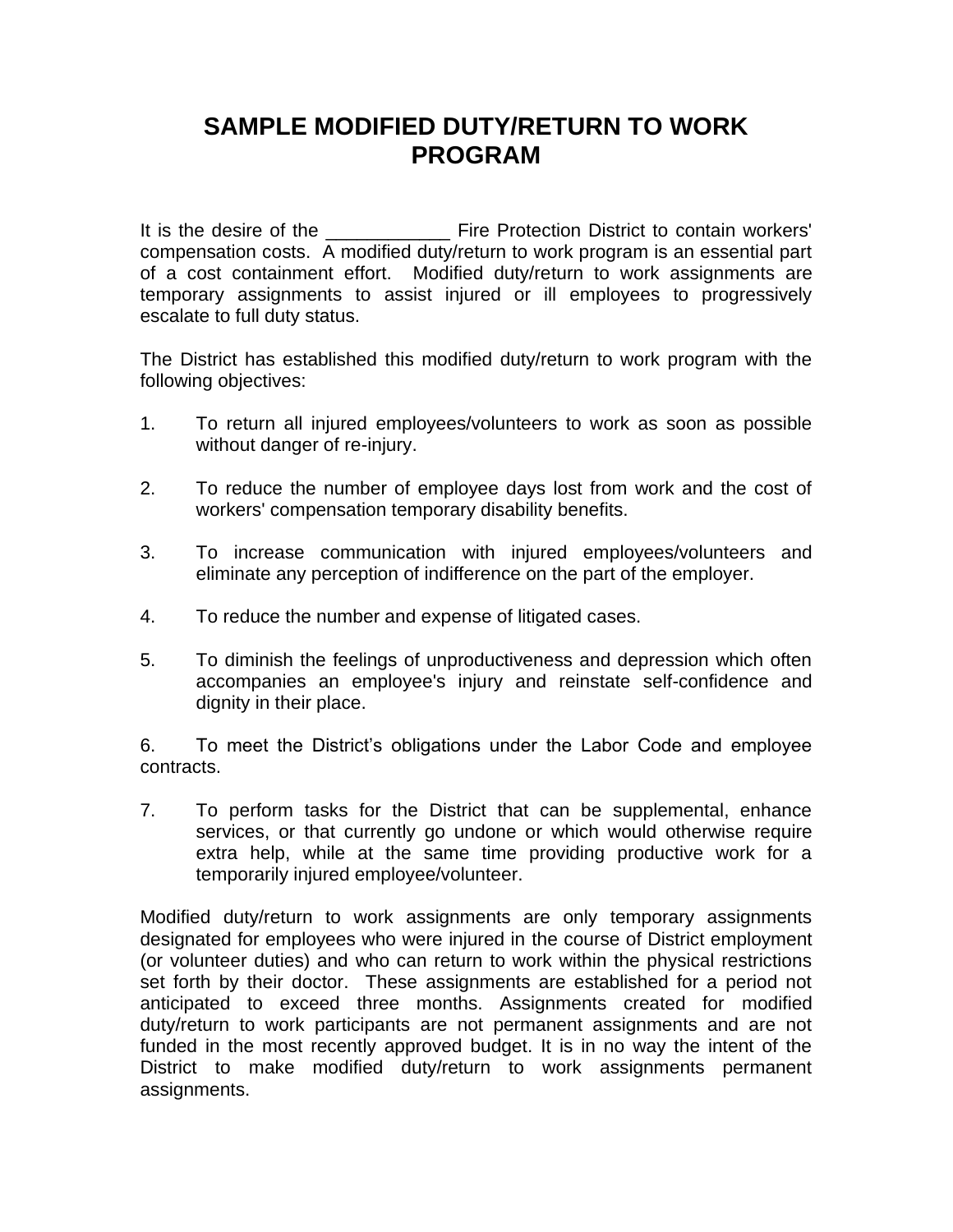## **SAMPLE MODIFIED DUTY/RETURN TO WORK PROGRAM**

It is the desire of the **Example 20** Fire Protection District to contain workers' compensation costs. A modified duty/return to work program is an essential part of a cost containment effort. Modified duty/return to work assignments are temporary assignments to assist injured or ill employees to progressively escalate to full duty status.

The District has established this modified duty/return to work program with the following objectives:

- 1. To return all injured employees/volunteers to work as soon as possible without danger of re-injury.
- 2. To reduce the number of employee days lost from work and the cost of workers' compensation temporary disability benefits.
- 3. To increase communication with injured employees/volunteers and eliminate any perception of indifference on the part of the employer.
- 4. To reduce the number and expense of litigated cases.
- 5. To diminish the feelings of unproductiveness and depression which often accompanies an employee's injury and reinstate self-confidence and dignity in their place.

6. To meet the District's obligations under the Labor Code and employee contracts.

7. To perform tasks for the District that can be supplemental, enhance services, or that currently go undone or which would otherwise require extra help, while at the same time providing productive work for a temporarily injured employee/volunteer.

Modified duty/return to work assignments are only temporary assignments designated for employees who were injured in the course of District employment (or volunteer duties) and who can return to work within the physical restrictions set forth by their doctor. These assignments are established for a period not anticipated to exceed three months. Assignments created for modified duty/return to work participants are not permanent assignments and are not funded in the most recently approved budget. It is in no way the intent of the District to make modified duty/return to work assignments permanent assignments.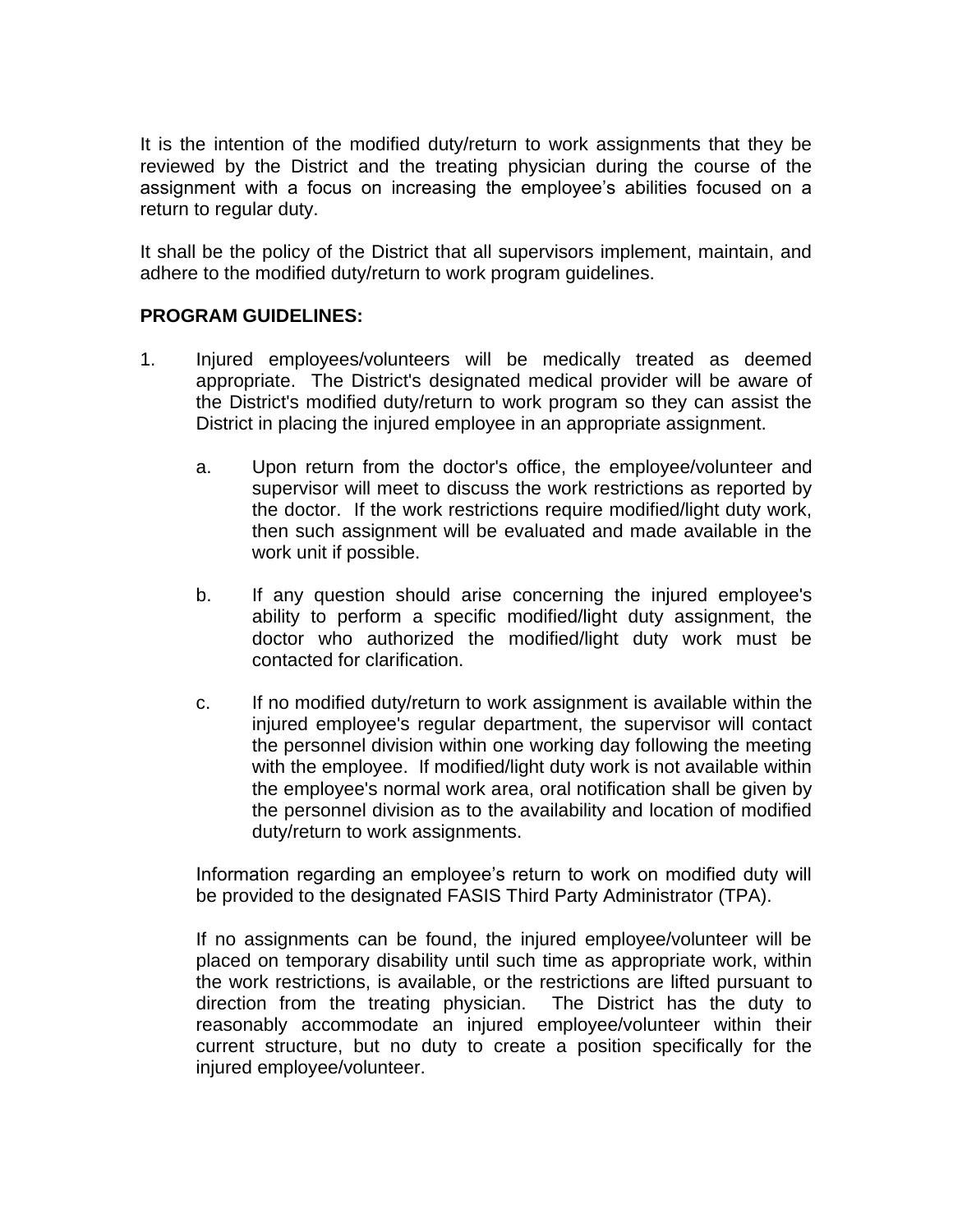It is the intention of the modified duty/return to work assignments that they be reviewed by the District and the treating physician during the course of the assignment with a focus on increasing the employee's abilities focused on a return to regular duty.

It shall be the policy of the District that all supervisors implement, maintain, and adhere to the modified duty/return to work program guidelines.

## **PROGRAM GUIDELINES:**

- 1. Injured employees/volunteers will be medically treated as deemed appropriate. The District's designated medical provider will be aware of the District's modified duty/return to work program so they can assist the District in placing the injured employee in an appropriate assignment.
	- a. Upon return from the doctor's office, the employee/volunteer and supervisor will meet to discuss the work restrictions as reported by the doctor. If the work restrictions require modified/light duty work, then such assignment will be evaluated and made available in the work unit if possible.
	- b. If any question should arise concerning the injured employee's ability to perform a specific modified/light duty assignment, the doctor who authorized the modified/light duty work must be contacted for clarification.
	- c. If no modified duty/return to work assignment is available within the injured employee's regular department, the supervisor will contact the personnel division within one working day following the meeting with the employee. If modified/light duty work is not available within the employee's normal work area, oral notification shall be given by the personnel division as to the availability and location of modified duty/return to work assignments.

Information regarding an employee's return to work on modified duty will be provided to the designated FASIS Third Party Administrator (TPA).

If no assignments can be found, the injured employee/volunteer will be placed on temporary disability until such time as appropriate work, within the work restrictions, is available, or the restrictions are lifted pursuant to direction from the treating physician. The District has the duty to reasonably accommodate an injured employee/volunteer within their current structure, but no duty to create a position specifically for the injured employee/volunteer.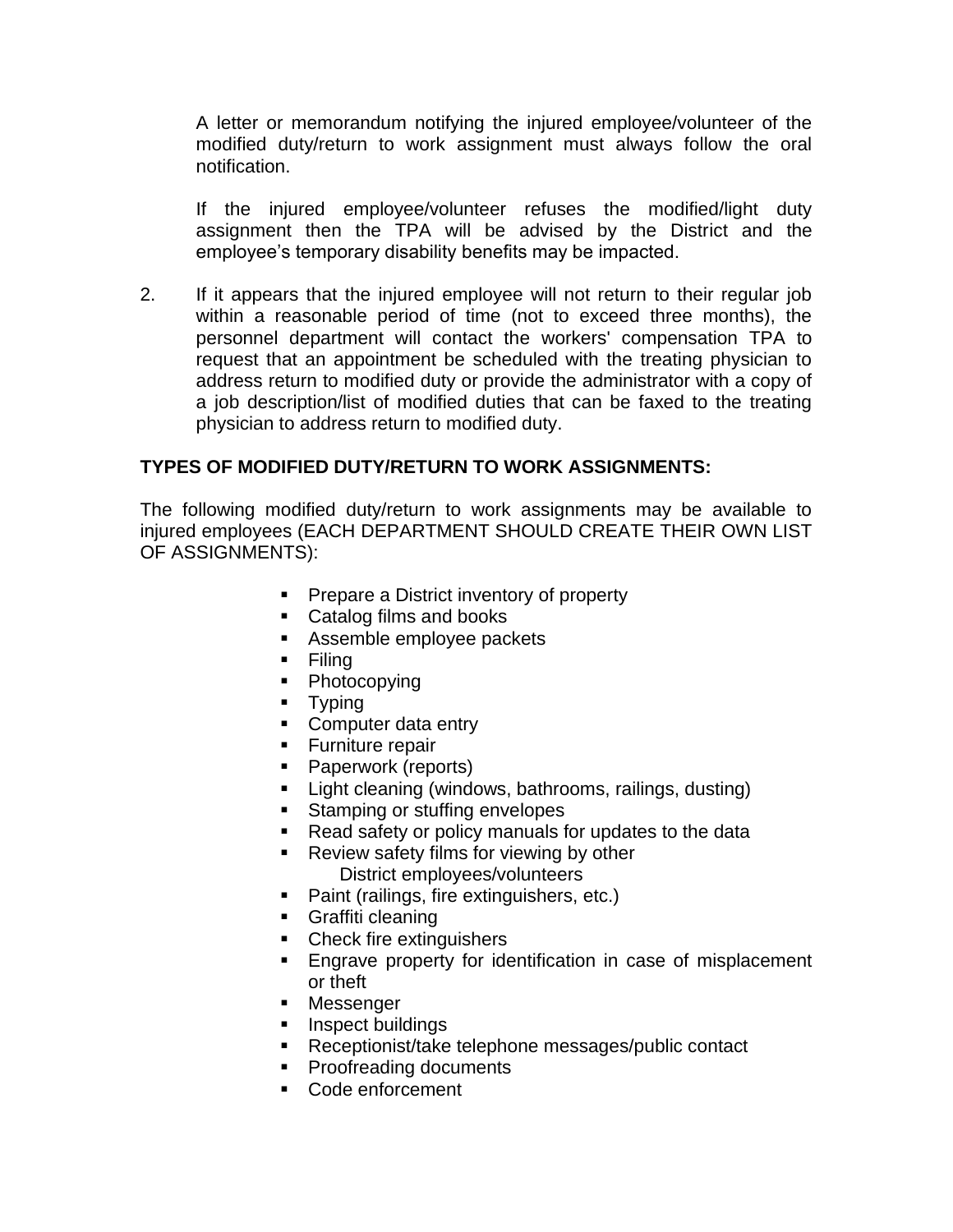A letter or memorandum notifying the injured employee/volunteer of the modified duty/return to work assignment must always follow the oral notification.

If the injured employee/volunteer refuses the modified/light duty assignment then the TPA will be advised by the District and the employee's temporary disability benefits may be impacted.

2. If it appears that the injured employee will not return to their regular job within a reasonable period of time (not to exceed three months), the personnel department will contact the workers' compensation TPA to request that an appointment be scheduled with the treating physician to address return to modified duty or provide the administrator with a copy of a job description/list of modified duties that can be faxed to the treating physician to address return to modified duty.

## **TYPES OF MODIFIED DUTY/RETURN TO WORK ASSIGNMENTS:**

The following modified duty/return to work assignments may be available to injured employees (EACH DEPARTMENT SHOULD CREATE THEIR OWN LIST OF ASSIGNMENTS):

- Prepare a District inventory of property
- Catalog films and books
- Assemble employee packets
- Filing
- Photocopying
- Typing
- Computer data entry
- Furniture repair
- Paperwork (reports)
- **E** Light cleaning (windows, bathrooms, railings, dusting)
- Stamping or stuffing envelopes
- Read safety or policy manuals for updates to the data
- Review safety films for viewing by other District employees/volunteers
- Paint (railings, fire extinguishers, etc.)
- Graffiti cleaning
- Check fire extinguishers
- Engrave property for identification in case of misplacement or theft
- **■** Messenger
- Inspect buildings
- Receptionist/take telephone messages/public contact
- Proofreading documents
- Code enforcement